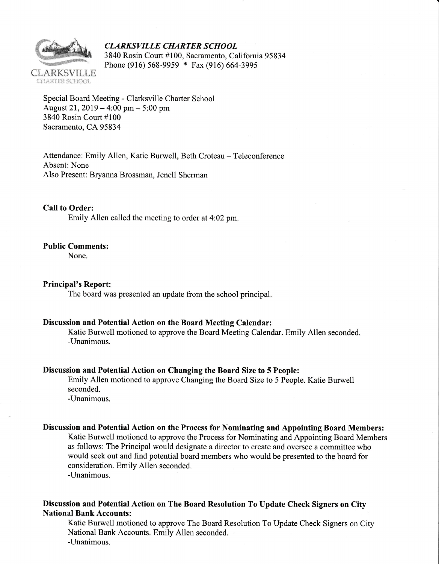

CLARKSVILLE CHARTER SCHOOL <sup>3840</sup> Rosin Court #100, Sacramento, California 95834 Phone (916) 568-9959 \* Fax (916) 6G4-3995

Special Board Meeting - Clarksville Charter School August 21,  $2019 - 4:00$  pm  $- 5:00$  pm 3840 Rosin Court #100 Sacramento, CA 95834

Attendance: Emily Allen, Katie Burwell, Beth Croteau - Teleconference Absent: None Also Present: Bryanna Brossman, Jenell Sherman

CaII to Order: Emily Allen called the meeting to order at 4:02 pm.

#### Public Comments:

None.

#### Principal's Report:

The board was presented an update from the school principal.

### Discussion and Potential Action on the Board Meeting Calendar:

Katie Burwell motioned to approve the Board Meeting Calendar. Emily Allen seconded. -Unanimous.

#### Discussion and Potential Action on Changing the Board Size to 5 People:

Emily Allen motioned to approve Changing the Board Size to 5 People. Katie Burwell seconded. -Unanimous.

Discussion and Potential Action on the Process for Nominating and Appointing Board Members:

Katie Burwell motioned to approve the Process for Nominating and Appointing Board Members as follows: The Principal would designate a director to create and oversee a committee who would seek out and find potential board members who would be presented to the board for consideration. Emily Allen seconded.

-Unanimous.

## Discussion and Potential Action on The Board Resolution To Update Check Signers on City **National Bank Accounts:**

Katie Burwell motioned to approve The Board Resolution To Update Check Signers on City National Bank Accounts. Emily Allen seconded. -Unanimous.